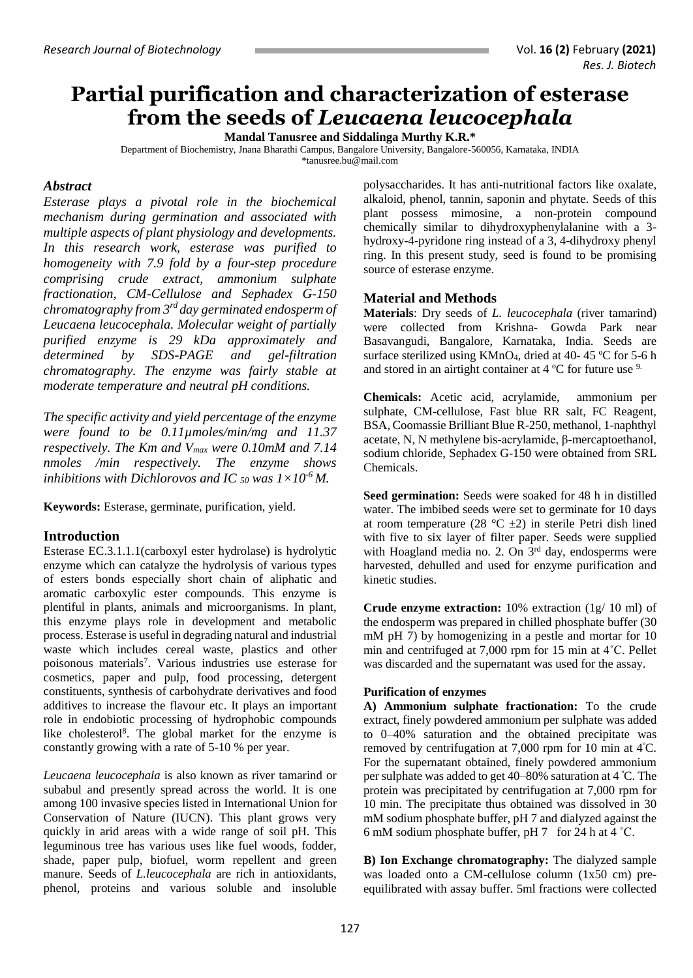# **Partial purification and characterization of esterase from the seeds of** *Leucaena leucocephala*

**Mandal Tanusree and Siddalinga Murthy K.R.\***

Department of Biochemistry, Jnana Bharathi Campus, Bangalore University, Bangalore-560056, Karnataka, INDIA [\\*tanusree.bu@mail.com](mailto:tanusree.bu@mail.com@yahoo.com)

## *Abstract*

*Esterase plays a pivotal role in the biochemical mechanism during germination and associated with multiple aspects of plant physiology and developments. In this research work, esterase was purified to homogeneity with 7.9 fold by a four-step procedure comprising crude extract, ammonium sulphate fractionation, CM-Cellulose and Sephadex G-150 chromatography from 3rd day germinated endosperm of Leucaena leucocephala. Molecular weight of partially purified enzyme is 29 kDa approximately and determined by SDS-PAGE and gel-filtration chromatography. The enzyme was fairly stable at moderate temperature and neutral pH conditions.* 

*The specific activity and yield percentage of the enzyme were found to be 0.11µmoles/min/mg and 11.37 respectively. The Km and Vmax were 0.10mM and 7.14 nmoles /min respectively. The enzyme shows inhibitions with Dichlorovos and IC*  $_{50}$  *was*  $1 \times 10^{-6}$  *M.* 

**Keywords:** Esterase, germinate, purification, yield.

# **Introduction**

Esterase EC.3.1.1.1(carboxyl ester hydrolase) is hydrolytic enzyme which can catalyze the hydrolysis of various types of esters bonds especially short chain of aliphatic and aromatic carboxylic ester compounds. This enzyme is plentiful in plants, animals and microorganisms. In plant, this enzyme plays role in development and metabolic process. Esterase is useful in degrading natural and industrial waste which includes cereal waste, plastics and other poisonous materials<sup>7</sup>. Various industries use esterase for cosmetics, paper and pulp, food processing, detergent constituents, synthesis of carbohydrate derivatives and food additives to increase the flavour etc. It plays an important role in endobiotic processing of hydrophobic compounds like cholesterol<sup>8</sup>. The global market for the enzyme is constantly growing with a rate of 5-10 % per year.

*Leucaena leucocephala* is also known as river tamarind or subabul and presently spread across the world. It is one among 100 invasive species listed in International Union for Conservation of Nature (IUCN). This plant grows very quickly in arid areas with a wide range of soil pH. This leguminous tree has various uses like fuel woods, fodder, shade, paper pulp, biofuel, worm repellent and green manure. Seeds of *L.leucocephala* are rich in antioxidants, phenol, proteins and various soluble and insoluble

polysaccharides. It has anti-nutritional factors like oxalate, alkaloid, phenol, tannin, saponin and phytate. Seeds of this plant possess mimosine, a non-protein compound chemically similar to dihydroxyphenylalanine with a 3 hydroxy-4-pyridone ring instead of a 3, 4-dihydroxy phenyl ring. In this present study, seed is found to be promising source of esterase enzyme.

## **Material and Methods**

**Materials**: Dry seeds of *L. leucocephala* (river tamarind) were collected from Krishna- Gowda Park near Basavangudi, Bangalore, Karnataka, India. Seeds are surface sterilized using  $KMnO<sub>4</sub>$ , dried at 40-45 °C for 5-6 h and stored in an airtight container at 4 ºC for future use 9.

**Chemicals:** Acetic acid, acrylamide, ammonium per sulphate, CM-cellulose, Fast blue RR salt, FC Reagent, BSA, Coomassie Brilliant Blue R-250, methanol, 1-naphthyl acetate, N, N methylene bis-acrylamide, β-mercaptoethanol, sodium chloride, Sephadex G-150 were obtained from SRL Chemicals.

**Seed germination:** Seeds were soaked for 48 h in distilled water. The imbibed seeds were set to germinate for 10 days at room temperature (28 °C  $\pm$ 2) in sterile Petri dish lined with five to six layer of filter paper. Seeds were supplied with Hoagland media no. 2. On 3<sup>rd</sup> day, endosperms were harvested, dehulled and used for enzyme purification and kinetic studies.

**Crude enzyme extraction:** 10% extraction (1g/ 10 ml) of the endosperm was prepared in chilled phosphate buffer (30 mM pH 7) by homogenizing in a pestle and mortar for 10 min and centrifuged at 7,000 rpm for 15 min at 4˚C. Pellet was discarded and the supernatant was used for the assay.

### **Purification of enzymes**

**A) Ammonium sulphate fractionation:** To the crude extract, finely powdered ammonium per sulphate was added to 0–40% saturation and the obtained precipitate was removed by centrifugation at 7,000 rpm for 10 min at 4<sup>º</sup>C. For the supernatant obtained, finely powdered ammonium per sulphate was added to get 40–80% saturation at 4 <sup>º</sup>C. The protein was precipitated by centrifugation at 7,000 rpm for 10 min. The precipitate thus obtained was dissolved in 30 mM sodium phosphate buffer, pH 7 and dialyzed against the 6 mM sodium phosphate buffer, pH 7 for 24 h at  $4 \degree C$ .

**B) Ion Exchange chromatography:** The dialyzed sample was loaded onto a CM-cellulose column (1x50 cm) preequilibrated with assay buffer. 5ml fractions were collected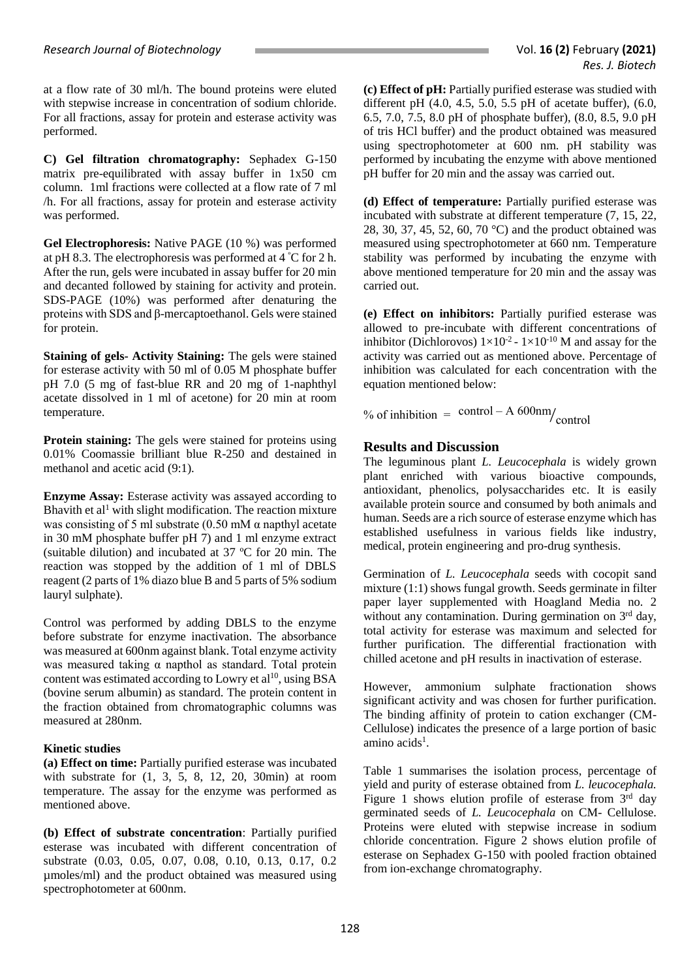at a flow rate of 30 ml/h. The bound proteins were eluted with stepwise increase in concentration of sodium chloride. For all fractions, assay for protein and esterase activity was performed.

**C) Gel filtration chromatography:** Sephadex G-150 matrix pre-equilibrated with assay buffer in 1x50 cm column. 1ml fractions were collected at a flow rate of 7 ml /h. For all fractions, assay for protein and esterase activity was performed.

**Gel Electrophoresis:** Native PAGE (10 %) was performed at pH 8.3. The electrophoresis was performed at 4 <sup>º</sup>C for 2 h. After the run, gels were incubated in assay buffer for 20 min and decanted followed by staining for activity and protein. SDS-PAGE (10%) was performed after denaturing the proteins with SDS and β-mercaptoethanol. Gels were stained for protein.

**Staining of gels- Activity Staining:** The gels were stained for esterase activity with 50 ml of 0.05 M phosphate buffer pH 7.0 (5 mg of fast-blue RR and 20 mg of 1-naphthyl acetate dissolved in 1 ml of acetone) for 20 min at room temperature.

**Protein staining:** The gels were stained for proteins using 0.01% Coomassie brilliant blue R-250 and destained in methanol and acetic acid (9:1).

**Enzyme Assay:** Esterase activity was assayed according to Bhavith et al<sup>1</sup> with slight modification. The reaction mixture was consisting of 5 ml substrate (0.50 mM  $\alpha$  napthyl acetate in 30 mM phosphate buffer pH 7) and 1 ml enzyme extract (suitable dilution) and incubated at 37 ºC for 20 min. The reaction was stopped by the addition of 1 ml of DBLS reagent (2 parts of 1% diazo blue B and 5 parts of 5% sodium lauryl sulphate).

Control was performed by adding DBLS to the enzyme before substrate for enzyme inactivation. The absorbance was measured at 600nm against blank. Total enzyme activity was measured taking α napthol as standard. Total protein content was estimated according to Lowry et al<sup>10</sup>, using BSA (bovine serum albumin) as standard. The protein content in the fraction obtained from chromatographic columns was measured at 280nm.

### **Kinetic studies**

**(a) Effect on time:** Partially purified esterase was incubated with substrate for (1, 3, 5, 8, 12, 20, 30min) at room temperature. The assay for the enzyme was performed as mentioned above.

**(b) Effect of substrate concentration**: Partially purified esterase was incubated with different concentration of substrate (0.03, 0.05, 0.07, 0.08, 0.10, 0.13, 0.17, 0.2 µmoles/ml) and the product obtained was measured using spectrophotometer at 600nm.

**(c) Effect of pH:** Partially purified esterase was studied with different pH $(4.0, 4.5, 5.0, 5.5, pH)$  of acetate buffer),  $(6.0,$ 6.5, 7.0, 7.5, 8.0 pH of phosphate buffer), (8.0, 8.5, 9.0 pH of tris HCl buffer) and the product obtained was measured using spectrophotometer at 600 nm. pH stability was performed by incubating the enzyme with above mentioned pH buffer for 20 min and the assay was carried out.

**(d) Effect of temperature:** Partially purified esterase was incubated with substrate at different temperature (7, 15, 22, 28, 30, 37, 45, 52, 60, 70 °C) and the product obtained was measured using spectrophotometer at 660 nm. Temperature stability was performed by incubating the enzyme with above mentioned temperature for 20 min and the assay was carried out.

**(e) Effect on inhibitors:** Partially purified esterase was allowed to pre-incubate with different concentrations of inhibitor (Dichlorovos)  $1 \times 10^{-2}$  -  $1 \times 10^{-10}$  M and assay for the activity was carried out as mentioned above. Percentage of inhibition was calculated for each concentration with the equation mentioned below:

% of inhibition =  $\frac{\text{control} - A}{\text{control}}$ 

# **Results and Discussion**

The leguminous plant *L. Leucocephala* is widely grown plant enriched with various bioactive compounds, antioxidant, phenolics, polysaccharides etc. It is easily available protein source and consumed by both animals and human. Seeds are a rich source of esterase enzyme which has established usefulness in various fields like industry, medical, protein engineering and pro-drug synthesis.

Germination of *L. Leucocephala* seeds with cocopit sand mixture (1:1) shows fungal growth. Seeds germinate in filter paper layer supplemented with Hoagland Media no. 2 without any contamination. During germination on 3rd day, total activity for esterase was maximum and selected for further purification. The differential fractionation with chilled acetone and pH results in inactivation of esterase.

However, ammonium sulphate fractionation shows significant activity and was chosen for further purification. The binding affinity of protein to cation exchanger (CM-Cellulose) indicates the presence of a large portion of basic amino acids<sup>1</sup>.

Table 1 summarises the isolation process, percentage of yield and purity of esterase obtained from *L. leucocephala.*  Figure 1 shows elution profile of esterase from  $3<sup>rd</sup>$  day germinated seeds of *L. Leucocephala* on CM- Cellulose. Proteins were eluted with stepwise increase in sodium chloride concentration. Figure 2 shows elution profile of esterase on Sephadex G-150 with pooled fraction obtained from ion-exchange chromatography.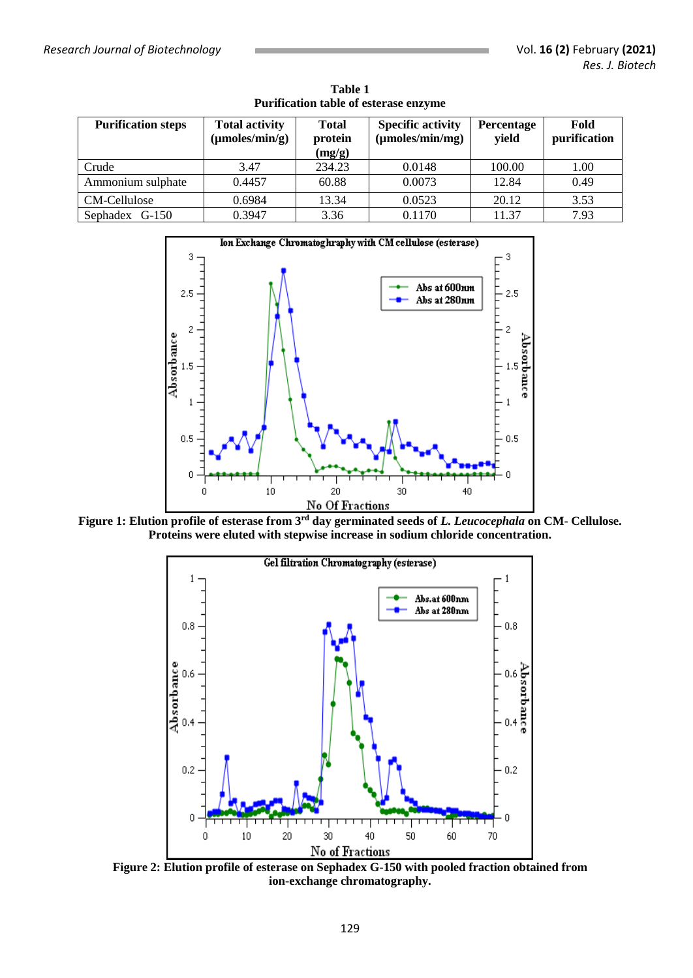| <b>Purification steps</b> | <b>Total activity</b><br>$(\mu$ moles/min/g) | <b>Total</b><br>protein<br>(mg/g) | <b>Specific activity</b><br>$(\mu$ moles/min/mg) | <b>Percentage</b><br>yield | Fold<br>purification |
|---------------------------|----------------------------------------------|-----------------------------------|--------------------------------------------------|----------------------------|----------------------|
| Crude                     | 3.47                                         | 234.23                            | 0.0148                                           | 100.00                     | 1.00                 |
| Ammonium sulphate         | 0.4457                                       | 60.88                             | 0.0073                                           | 12.84                      | 0.49                 |
| CM-Cellulose              | 0.6984                                       | 13.34                             | 0.0523                                           | 20.12                      | 3.53                 |
| Sephadex G-150            | 0.3947                                       | 3.36                              | 0.1170                                           | 11.37                      | 7.93                 |

**Table 1 Purification table of esterase enzyme**



**Figure 1: Elution profile of esterase from 3rd day germinated seeds of** *L. Leucocephala* **on CM- Cellulose. Proteins were eluted with stepwise increase in sodium chloride concentration.**



**Figure 2: Elution profile of esterase on Sephadex G-150 with pooled fraction obtained from ion-exchange chromatography.**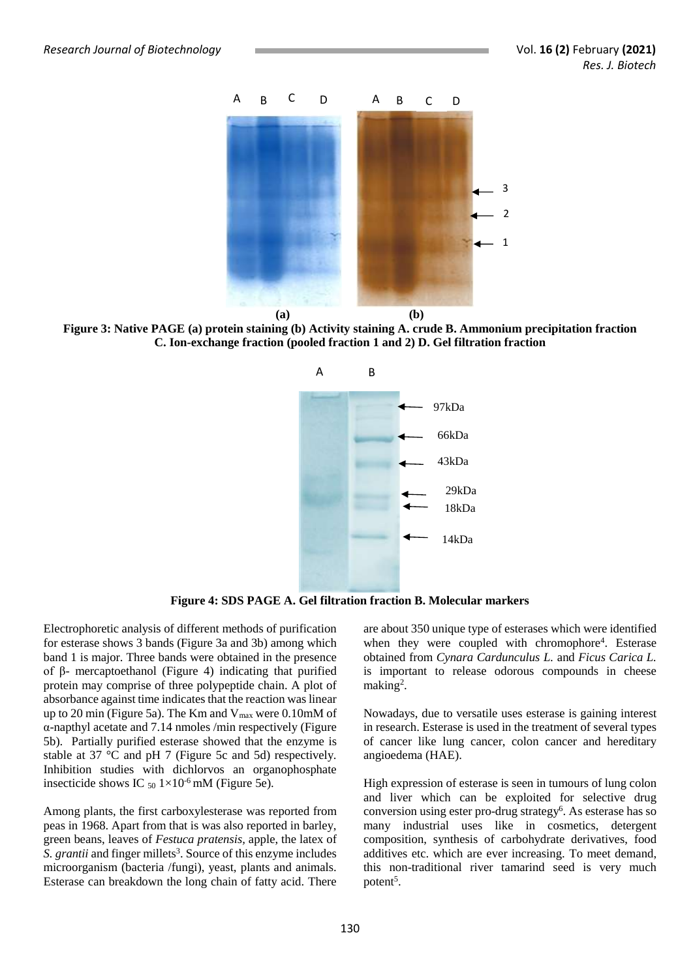

**Figure 3: Native PAGE (a) protein staining (b) Activity staining A. crude B. Ammonium precipitation fraction C. Ion-exchange fraction (pooled fraction 1 and 2) D. Gel filtration fraction**



**Figure 4: SDS PAGE A. Gel filtration fraction B. Molecular markers**

Electrophoretic analysis of different methods of purification for esterase shows 3 bands (Figure 3a and 3b) among which band 1 is major. Three bands were obtained in the presence of β- mercaptoethanol (Figure 4) indicating that purified protein may comprise of three polypeptide chain. A plot of absorbance against time indicates that the reaction was linear up to 20 min (Figure 5a). The Km and  $V_{\text{max}}$  were 0.10mM of α-napthyl acetate and 7.14 nmoles /min respectively (Figure 5b). Partially purified esterase showed that the enzyme is stable at 37 °C and pH 7 (Figure 5c and 5d) respectively. Inhibition studies with dichlorvos an organophosphate insecticide shows IC  $_{50}$  1×10<sup>-6</sup> mM (Figure 5e).

Among plants, the first carboxylesterase was reported from peas in 1968. Apart from that is was also reported in barley, green beans, leaves of *Festuca pratensis,* apple, the latex of S. grantii and finger millets<sup>3</sup>. Source of this enzyme includes microorganism (bacteria /fungi), yeast, plants and animals. Esterase can breakdown the long chain of fatty acid. There

are about 350 unique type of esterases which were identified when they were coupled with chromophore<sup>4</sup>. Esterase obtained from *Cynara Cardunculus L.* and *Ficus Carica L.* is important to release odorous compounds in cheese making<sup>2</sup>.

Nowadays, due to versatile uses esterase is gaining interest in research. Esterase is used in the treatment of several types of cancer like lung cancer, colon cancer and hereditary angioedema (HAE).

High expression of esterase is seen in tumours of lung colon and liver which can be exploited for selective drug conversion using ester pro-drug strategy<sup>6</sup>. As esterase has so many industrial uses like in cosmetics, detergent composition, synthesis of carbohydrate derivatives, food additives etc. which are ever increasing. To meet demand, this non-traditional river tamarind seed is very much potent<sup>5</sup>.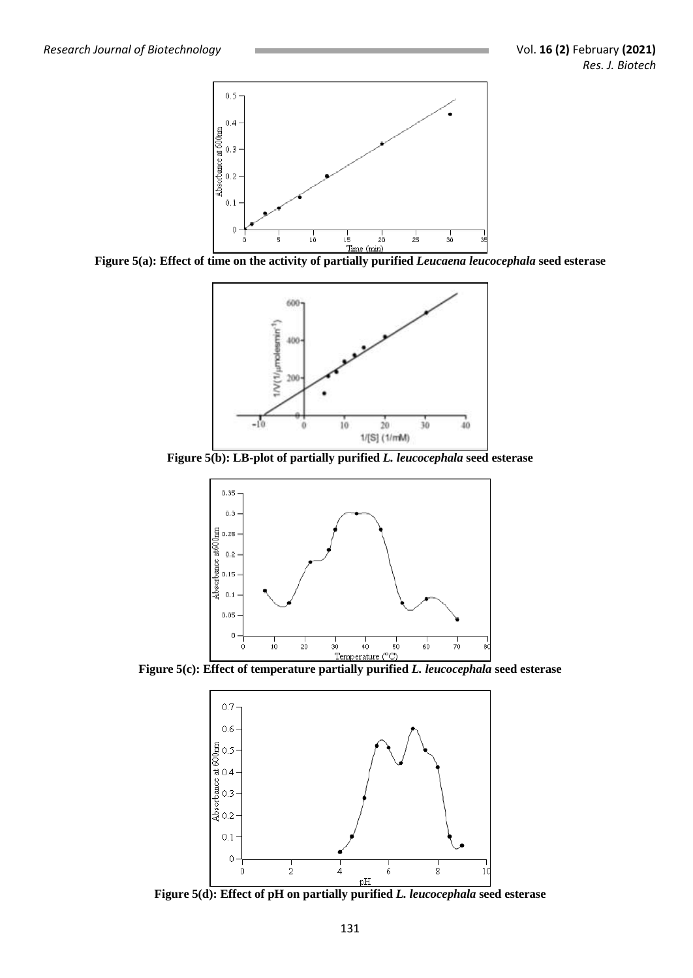

**Figure 5(a): Effect of time on the activity of partially purified** *Leucaena leucocephala* **seed esterase** 



**Figure 5(b): LB-plot of partially purified** *L. leucocephala* **seed esterase**





**Figure 5(d): Effect of pH on partially purified** *L. leucocephala* **seed esterase**